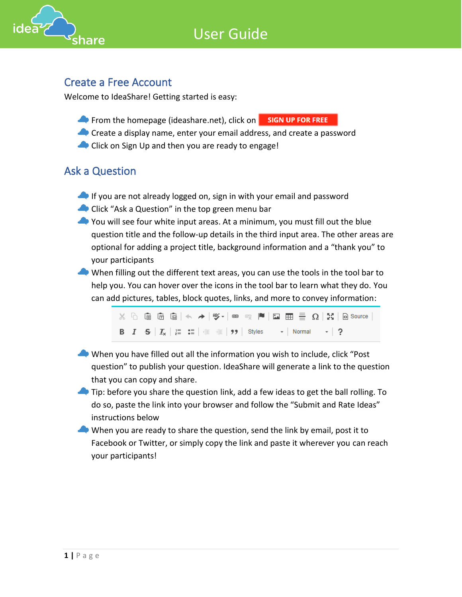



#### Create a Free Account

Welcome to IdeaShare! Getting started is easy:

- From the homepage (ideashare.net), click on **SIGN UP FOR FREE**
- Create a display name, enter your email address, and create a password
- Click on Sign Up and then you are ready to engage!

### Ask a Question

- If you are not already logged on, sign in with your email and password
- Click "Ask a Question" in the top green menu bar
- You will see four white input areas. At a minimum, you must fill out the blue question title and the follow-up details in the third input area. The other areas are optional for adding a project title, background information and a "thank you" to your participants
- When filling out the different text areas, you can use the tools in the tool bar to help you. You can hover over the icons in the tool bar to learn what they do. You can add pictures, tables, block quotes, links, and more to convey information:

 $\lambda$  b G G G  $\lambda \rightarrow 0$  ,  $\lambda$  and  $\lambda$  and  $\lambda$  and  $\lambda$  and  $\lambda$  and  $\lambda$  and  $\lambda$  and  $\lambda$  and  $\lambda$  and  $\lambda$  and  $\lambda$  and  $\lambda$  and  $\lambda$  and  $\lambda$  and  $\lambda$  and  $\lambda$  and  $\lambda$  and  $\lambda$  and  $\lambda$  and  $\lambda$  and  $\lambda$  and  $\lambda$  and **B**  $I = S | I_x | \equiv := | \equiv | \equiv | \cdot | \cdot |$  Styles  $\sim |$  Normal  $\sim | ?$ 

- When you have filled out all the information you wish to include, click "Post question" to publish your question. IdeaShare will generate a link to the question that you can copy and share.
- **Tip:** before you share the question link, add a few ideas to get the ball rolling. To do so, paste the link into your browser and follow the "Submit and Rate Ideas" instructions below
- When you are ready to share the question, send the link by email, post it to Facebook or Twitter, or simply copy the link and paste it wherever you can reach your participants!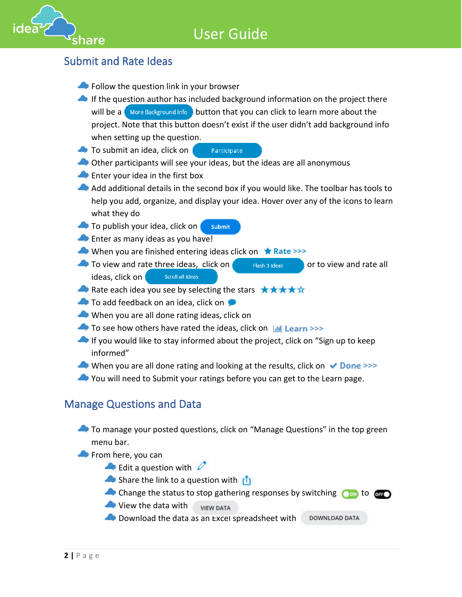# User Guide



## Submit and Rate Ideas

- Follow the question link in your browser
- If the question author has included background information on the project there will be a  $\bigcirc$  More Background Info  $\bigcirc$  button that you can click to learn more about the project. Note that this button doesn't exist if the user didn't add background info when setting up the question.
- Participate **To submit an idea, click on**
- Other participants will see your ideas, but the ideas are all anonymous
- **Enter your idea in the first box**
- Add additional details in the second box if you would like. The toolbar has tools to help you add, organize, and display your idea. Hover over any of the icons to learn what they do
- To publish your idea, click on Submit
- **Enter as many ideas as you have!**
- When you are finished entering ideas click on  $\star$  Rate >>>
- $\bullet$  To view and rate three ideas, click on  $\bullet$  Flash 3 Ideas  $\bullet$  or to view and rate all ideas, click on Scroll all Ideas
- Rate each idea you see by selecting the stars  $\star \star \star \star \star$
- To add feedback on an idea, click on
- When you are all done rating ideas, click on
- $\triangle$  To see how others have rated the ideas, click on  $\parallel$  Learn >>>
- If you would like to stay informed about the project, click on "Sign up to keep informed"
- When you are all done rating and looking at the results, click on  $\vee$  Done >>>
- You will need to Submit your ratings before you can get to the Learn page.

### Manage Questions and Data

- To manage your posted questions, click on "Manage Questions" in the top green menu bar.
- From here, you can
	- $\triangle$  Edit a question with  $\triangle$
	- Share the link to a question with  $\mathbf{f}_1$
	- Change the status to stop gathering responses by switching  $\bullet$  on to  $\bullet$  for  $\bullet$
	- View the data with **VIEW DATA**
	- **Download the data as an Excel spreadsheet with DOWNLOAD DATA**